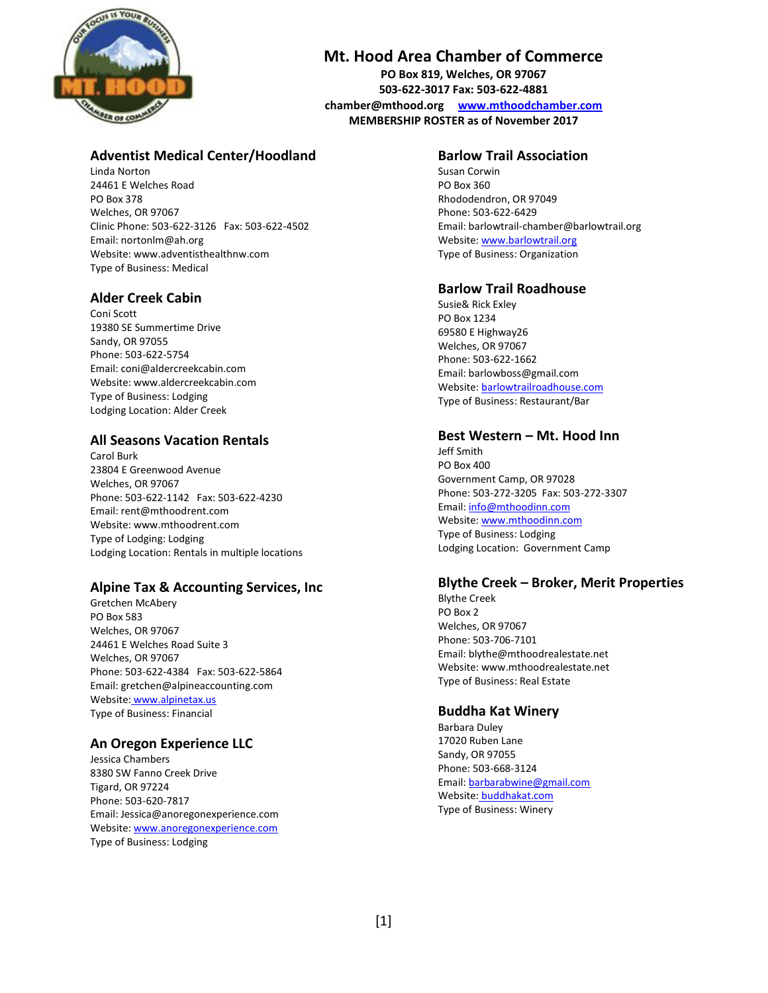

# **Mt. Hood Area Chamber of Commerce**

**PO Box 819, Welches, OR 97067 503-622-3017 Fax: 503-622-4881 [chamber@mthood.org](mailto:chamber@mthood.org) [www.mthoodchamber.com](http://www.mthoodchamber.com/) MEMBERSHIP ROSTER as of November 2017**

# **Adventist Medical Center/Hoodland**

Linda Norton 24461 E Welches Road PO Box 378 Welches, OR 97067 Clinic Phone: 503-622-3126 Fax: 503-622-4502 Email[: nortonlm@ah.org](mailto:nortonlm@ah.org) Website[: www.adventisthealthnw.com](http://www.adventisthealthnw.com/) Type of Business: Medical

# **Alder Creek Cabin**

Coni Scott 19380 SE Summertime Drive Sandy, OR 97055 Phone: 503-622-5754 Email[: coni@aldercreekcabin.com](mailto:coni@aldercreekcabin.com) Website[: www.aldercreekcabin.com](http://www.aldercreekcabin.com/) Type of Business: Lodging Lodging Location: Alder Creek

# **All Seasons Vacation Rentals**

Carol Burk 23804 E Greenwood Avenue Welches, OR 97067 Phone: 503-622-1142 Fax: 503-622-4230 Email[: rent@mthoodrent.com](mailto:rent@mthoodrent.com) Website[: www.mthoodrent.com](http://www.mthoodrent.com/) Type of Lodging: Lodging Lodging Location: Rentals in multiple locations

# **Alpine Tax & Accounting Services, Inc**

Gretchen McAbery PO Box 583 Welches, OR 97067 24461 E Welches Road Suite 3 Welches, OR 97067 Phone: 503-622-4384 Fax: 503-622-5864 Email[: gretchen@alpineaccounting.com](mailto:gretchen@alpineaccounting.com) Website: [www.alpinetax.us](http://www.alpinetax.us/) Type of Business: Financial

# **An Oregon Experience LLC**

Jessica Chambers 8380 SW Fanno Creek Drive Tigard, OR 97224 Phone: 503-620-7817 Email: Jessica@anoregonexperience.com Website[: www.anoregonexperience.com](http://www.anoregonexperience.com/) Type of Business: Lodging

## **Barlow Trail Association**

Susan Corwin PO Box 360 Rhododendron, OR 97049 Phone: 503-622-6429 Email: barlowtrail-chamber@barlowtrail.org Website: [www.barlowtrail.org](http://www.barlowtrail.org/) Type of Business: Organization

# **Barlow Trail Roadhouse**

Susie& Rick Exley PO Box 1234 69580 E Highway26 Welches, OR 97067 Phone: 503-622-1662 Email: barlowboss@gmail.com Website: [barlowtrailroadhouse.com](http://www.barlowtrail.org/) Type of Business: Restaurant/Bar

#### **Best Western – Mt. Hood Inn**

Jeff Smith PO Box 400 Government Camp, OR 97028 Phone: 503-272-3205 Fax: 503-272-3307 Email[: info@mthoodinn.com](mailto:info@mthoodinn.com) Website: [www.mthoodinn.com](http://www.mthoodinn.com/) Type of Business: Lodging Lodging Location: Government Camp

# **Blythe Creek – Broker, Merit Properties**

Blythe Creek PO Box 2 Welches, OR 97067 Phone: 503-706-7101 Email[: blythe@mthoodrealestate.net](mailto:blythe@mthoodrealestate.net) Website: [www.mthoodrealestate.net](http://www.mthoodrealestate.net/) Type of Business: Real Estate

# **Buddha Kat Winery**

Barbara Duley 17020 Ruben Lane Sandy, OR 97055 Phone: 503-668-3124 Email[: barbarabwine@gmail.com](mailto:barbarabwine@gmail.com) Website: [buddhakat.com](http://www.alpinetax.us/) Type of Business: Winery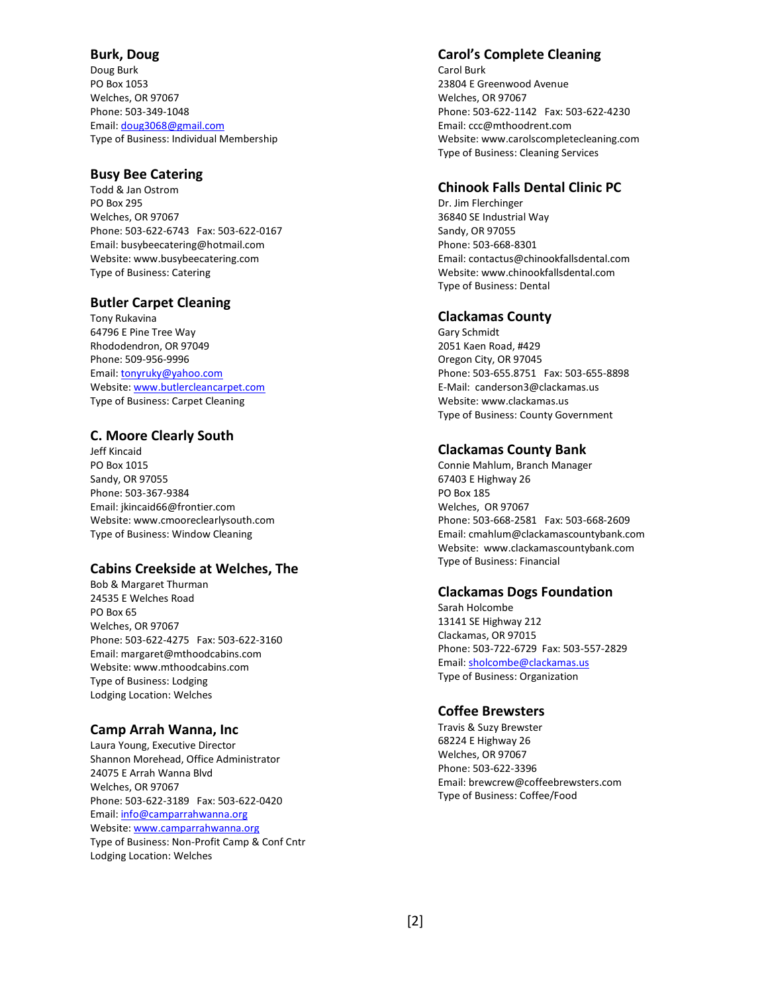# **Burk, Doug**

Doug Burk PO Box 1053 Welches, OR 97067 Phone: 503-349-1048 Email[: doug3068@gmail.com](mailto:doug3068@gmail.com) Type of Business: Individual Membership

## **Busy Bee Catering**

Todd & Jan Ostrom PO Box 295 Welches, OR 97067 Phone: 503-622-6743 Fax: 503-622-0167 Email[: busybeecatering@hotmail.com](mailto:busybeecatering@hotmail.com) Website[: www.busybeecatering.com](http://www.busybeecatering.com/) Type of Business: Catering

# **Butler Carpet Cleaning**

Tony Rukavina 64796 E Pine Tree Way Rhododendron, OR 97049 Phone: 509-956-9996 Email[: tonyruky@yahoo.com](mailto:tonyruky@yahoo.com) Website[: www.butlercleancarpet.com](http://www.butlercleancarpet.com/) Type of Business: Carpet Cleaning

## **C. Moore Clearly South**

Jeff Kincaid PO Box 1015 Sandy, OR 97055 Phone: 503-367-9384 Email[: jkincaid66@frontier.com](mailto:jkincaid66@frontier.com) Website[: www.cmooreclearlysouth.com](http://www.cmooreclearlysouth.com/) Type of Business: Window Cleaning

# **Cabins Creekside at Welches, The**

Bob & Margaret Thurman 24535 E Welches Road PO Box 65 Welches, OR 97067 Phone: 503-622-4275 Fax: 503-622-3160 Email[: margaret@mthoodcabins.com](mailto:margaret@mthoodcabins.com) Website[: www.mthoodcabins.com](http://www.mthoodcabins.com/) Type of Business: Lodging Lodging Location: Welches

# **Camp Arrah Wanna, Inc**

Laura Young, Executive Director Shannon Morehead, Office Administrator 24075 E Arrah Wanna Blvd Welches, OR 97067 Phone: 503-622-3189 Fax: 503-622-0420 Email[: info@camparrahwanna.org](mailto:info@camparrahwanna.org) Website[: www.camparrahwanna.org](http://www.camparrahwanna.org/) Type of Business: Non-Profit Camp & Conf Cntr Lodging Location: Welches

#### **Carol's Complete Cleaning**

Carol Burk 23804 E Greenwood Avenue Welches, OR 97067 Phone: 503-622-1142 Fax: 503-622-4230 Email[: ccc@mthoodrent.com](mailto:ccc@mthoodrent.com) Website: [www.carolscompletecleaning.com](http://www.carolscompletecleaning.com/) Type of Business: Cleaning Services

#### **Chinook Falls Dental Clinic PC**

Dr. Jim Flerchinger 36840 SE Industrial Way Sandy, OR 97055 Phone: 503-668-8301 Email[: contactus@chinookfallsdental.com](mailto:contactus@chinookfallsdental.com) Website: [www.chinookfallsdental.com](http://www.chinookfallsdental.com/) Type of Business: Dental

## **Clackamas County**

Gary Schmidt 2051 Kaen Road, #429 Oregon City, OR 97045 Phone: 503-655.8751 Fax: 503-655-8898 E-Mail: canderson3@clackamas.us Website: www.clackamas.us Type of Business: County Government

## **Clackamas County Bank**

Connie Mahlum, Branch Manager 67403 E Highway 26 PO Box 185 Welches, OR 97067 Phone: 503-668-2581 Fax: 503-668-2609 Email[: cmahlum@clackamascountybank.com](mailto:cmahlum@clackamascountybank.com) Website: [www.clackamascountybank.com](http://www.clackamascountybank.com/) Type of Business: Financial

#### **Clackamas Dogs Foundation**

Sarah Holcombe 13141 SE Highway 212 Clackamas, OR 97015 Phone: 503-722-6729 Fax: 503-557-2829 Email[: sholcombe@clackamas.us](mailto:sholcombe@clackamas.us) Type of Business: Organization

#### **Coffee Brewsters**

Travis & Suzy Brewster 68224 E Highway 26 Welches, OR 97067 Phone: 503-622-3396 Email[: brewcrew@coffeebrewsters.com](mailto:brewcrew@coffeebrewsters.com) Type of Business: Coffee/Food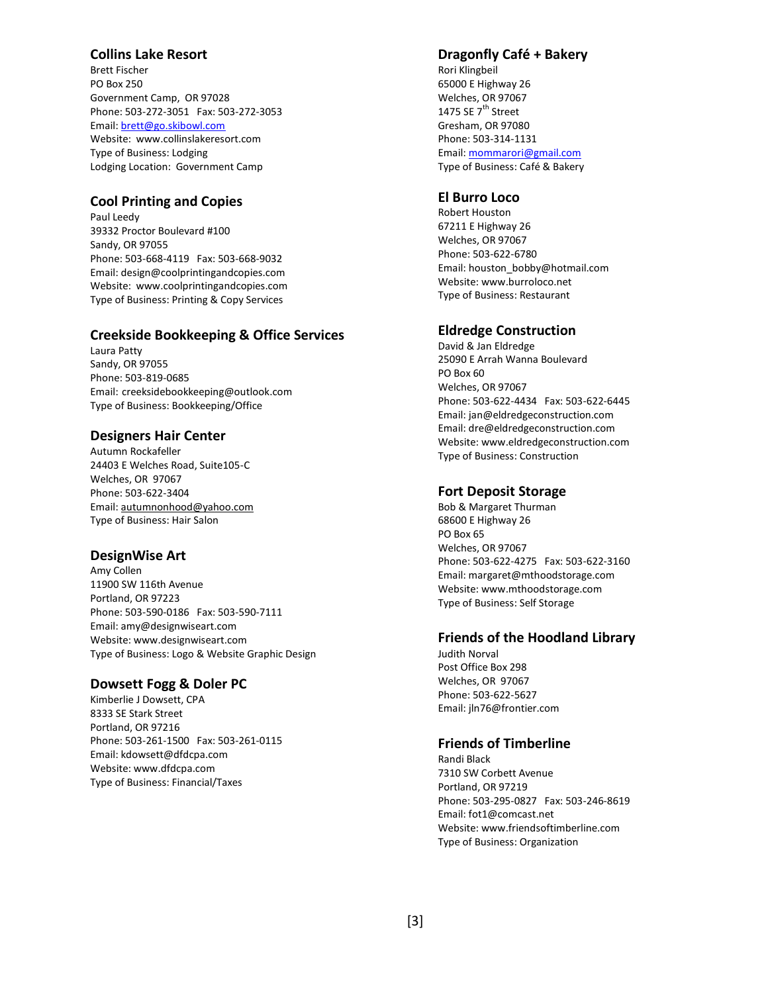## **Collins Lake Resort**

Brett Fischer PO Box 250 Government Camp, OR 97028 Phone: 503-272-3051 Fax: 503-272-3053 Email[: brett@go.skibowl.com](mailto:brett@go.skibowl.com) Website: [www.collinslakeresort.com](http://www.collinslakeresort.com/) Type of Business: Lodging Lodging Location: Government Camp

## **Cool Printing and Copies**

Paul Leedy 39332 Proctor Boulevard #100 Sandy, OR 97055 Phone: 503-668-4119 Fax: 503-668-9032 Email[: design@coolprintingandcopies.com](mailto:design@coolprintingandcopies.com) Website: [www.coolprintingandcopies.com](http://www.coolprintingandcopies.com/) Type of Business: Printing & Copy Services

## **Creekside Bookkeeping & Office Services**

Laura Patty Sandy, OR 97055 Phone: 503-819-0685 Email: creeksidebookkeeping@outlook.com Type of Business: Bookkeeping/Office

## **Designers Hair Center**

Autumn Rockafeller 24403 E Welches Road, Suite105-C Welches, OR 97067 Phone: 503-622-3404 Email[: autumnonhood@yahoo.com](mailto:autumnonhood@yahoo.com) Type of Business: Hair Salon

#### **DesignWise Art**

Amy Collen 11900 SW 116th Avenue Portland, OR 97223 Phone: 503-590-0186 Fax: 503-590-7111 Email[: amy@designwiseart.com](mailto:tracey@bigbluellc.com) Website[: www.designwiseart.com](http://www.greatbluelodge.com/) Type of Business: Logo & Website Graphic Design

#### **Dowsett Fogg & Doler PC**

Kimberlie J Dowsett, CPA 8333 SE Stark Street Portland, OR 97216 Phone: 503-261-1500 Fax: 503-261-0115 Email[: kdowsett@dfdcpa.com](mailto:kdowsett@dfdcpa.com) Website[: www.dfdcpa.com](http://www.dfdcpa.com/) Type of Business: Financial/Taxes

## **Dragonfly Café + Bakery**

Rori Klingbeil 65000 E Highway 26 Welches, OR 97067 1475 SE 7<sup>th</sup> Street Gresham, OR 97080 Phone: 503-314-1131 Email[: mommarori@gmail.com](mailto:mommarori@gmail.com) Type of Business: Café & Bakery

## **El Burro Loco**

Robert Houston 67211 E Highway 26 Welches, OR 97067 Phone: 503-622-6780 Email[: houston\\_bobby@hotmail.com](mailto:houston_bobby@hotmail.com) Website: [www.burroloco.net](http://www.burroloco.net/) Type of Business: Restaurant

## **Eldredge Construction**

David & Jan Eldredge 25090 E Arrah Wanna Boulevard PO Box 60 Welches, OR 97067 Phone: 503-622-4434 Fax: 503-622-6445 Email[: jan@eldredgeconstruction.com](mailto:jan@eldredgeconstruction.com) Email: dre@eldredgeconstruction.com Website: [www.eldredgeconstruction.com](http://www.eldredgeconstruction.com/) Type of Business: Construction

#### **Fort Deposit Storage**

Bob & Margaret Thurman 68600 E Highway 26 PO Box 65 Welches, OR 97067 Phone: 503-622-4275 Fax: 503-622-3160 Email: margaret@mthoodstorage.com Website: www.mthoodstorage.com Type of Business: Self Storage

#### **Friends of the Hoodland Library**

Judith Norval Post Office Box 298 Welches, OR 97067 Phone: 503-622-5627 Email: jln76@frontier.com

# **Friends of Timberline**

Randi Black 7310 SW Corbett Avenue Portland, OR 97219 Phone: 503-295-0827 Fax: 503-246-8619 Email: fot1@comcast.net Website: www.friendsoftimberline.com Type of Business: Organization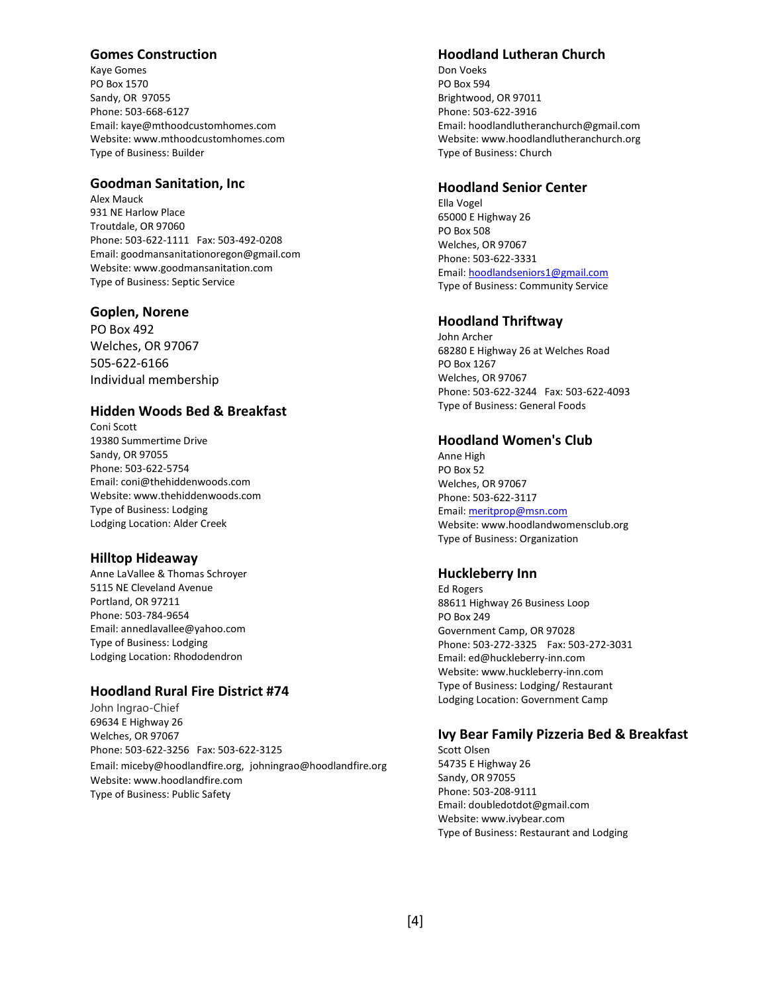## **Gomes Construction**

Kaye Gomes PO Box 1570 Sandy, OR 97055 Phone: 503-668-6127 Email: kaye@mthoodcustomhomes.com Website: www.mthoodcustomhomes.com Type of Business: Builder

#### **Goodman Sanitation, Inc**

Alex Mauck 931 NE Harlow Place Troutdale, OR 97060 Phone: 503-622-1111 Fax: 503-492-0208 Email: goodmansanitationoregon@gmail.com Website[: www.goodmansanitation.com](http://www.goodmansanitation.com/) Type of Business: Septic Service

#### **Goplen, Norene**

PO Box 492 Welches, OR 97067 505-622-6166 Individual membership

## **Hidden Woods Bed & Breakfast**

Coni Scott 19380 Summertime Drive Sandy, OR 97055 Phone: 503-622-5754 Email: coni@thehiddenwoods.com Website[: www.thehiddenwoods.com](http://www.thehiddenwoods.com/) Type of Business: Lodging Lodging Location: Alder Creek

#### **Hilltop Hideaway**

Anne LaVallee & Thomas Schroyer 5115 NE Cleveland Avenue Portland, OR 97211 Phone: 503-784-9654 Email[: annedlavallee@yahoo.com](mailto:annedlavallee@yahoo.com) Type of Business: Lodging Lodging Location: Rhododendron

## **Hoodland Rural Fire District #74**

John Ingrao-Chief 69634 E Highway 26 Welches, OR 97067 Phone: 503-622-3256 Fax: 503-622-3125 Email: miceby@hoodlandfire.org, [johningrao@hoodlandfire.org](mailto:johningrao@hoodlandfire.org) Website: www.hoodlandfire.com

Type of Business: Public Safety

#### **Hoodland Lutheran Church**

Don Voeks PO Box 594 Brightwood, OR 97011 Phone: 503-622-3916 Email: hoodlandlutheranchurch@gmail.com Website: www.hoodlandlutheranchurch.org Type of Business: Church

#### **Hoodland Senior Center**

Ella Vogel 65000 E Highway 26 PO Box 508 Welches, OR 97067 Phone: 503-622-3331 Email[: hoodlandseniors1@gmail.com](mailto:hoodlandseniors1@gmail.com) Type of Business: Community Service

#### **Hoodland Thriftway**

John Archer 68280 E Highway 26 at Welches Road PO Box 1267 Welches, OR 97067 Phone: 503-622-3244 Fax: 503-622-4093 Type of Business: General Foods

#### **Hoodland Women's Club**

Anne High PO Box 52 Welches, OR 97067 Phone: 503-622-3117 Email[: meritprop@msn.com](mailto:meritprop@msn.com) Website: www.hoodlandwomensclub.org Type of Business: Organization

#### **Huckleberry Inn**

Ed Rogers 88611 Highway 26 Business Loop PO Box 249 Government Camp, OR 97028 Phone: 503-272-3325 Fax: 503-272-3031 Email: ed@huckleberry-inn.com Website: www.huckleberry-inn.com Type of Business: Lodging/ Restaurant Lodging Location: Government Camp

# **Ivy Bear Family Pizzeria Bed & Breakfast**

Scott Olsen 54735 E Highway 26 Sandy, OR 97055 Phone: 503-208-9111 Email: doubledotdot@gmail.com Website: [www.ivybear.com](http://www.ivybear.com/) Type of Business: Restaurant and Lodging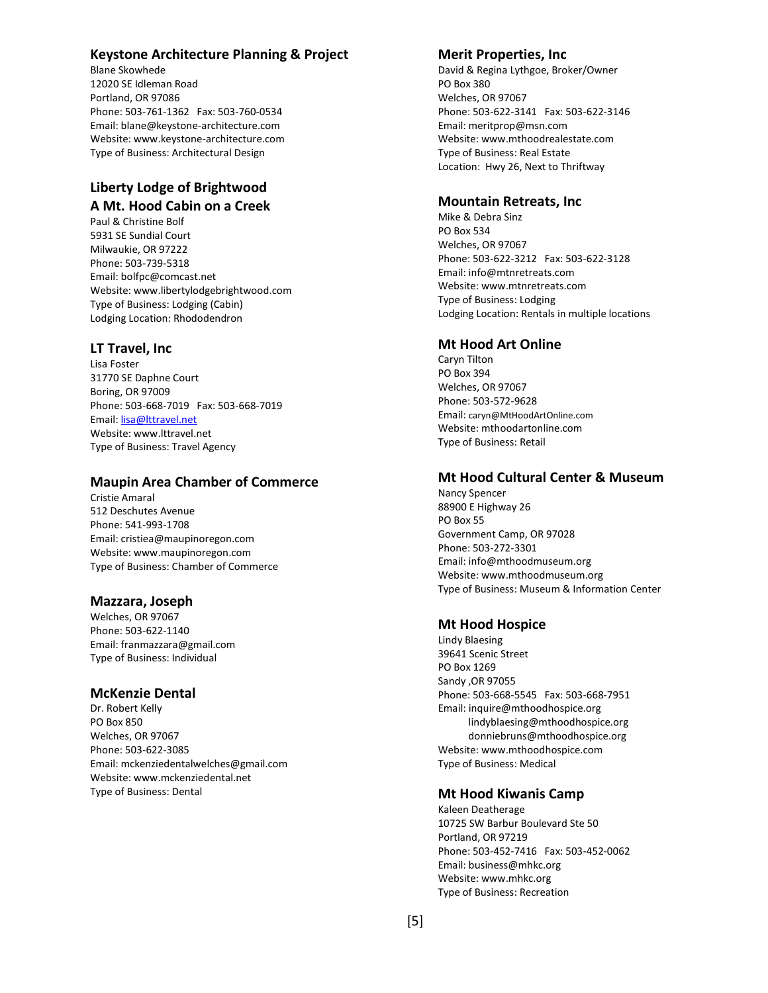# **Keystone Architecture Planning & Project**

Blane Skowhede 12020 SE Idleman Road Portland, OR 97086 Phone: 503-761-1362 Fax: 503-760-0534 Email[: blane@keystone-architecture.com](mailto:blane@keystone-architecture.com) Website: www.keystone-architecture.com Type of Business: Architectural Design

# **Liberty Lodge of Brightwood A Mt. Hood Cabin on a Creek**

Paul & Christine Bolf 5931 SE Sundial Court Milwaukie, OR 97222 Phone: 503-739-5318 Email: bolfpc@comcast.net Website[: www.libertylodgebrightwood.com](http://www.libertylodgebrightwood.com/) Type of Business: Lodging (Cabin) Lodging Location: Rhododendron

# **LT Travel, Inc**

Lisa Foster 31770 SE Daphne Court Boring, OR 97009 Phone: 503-668-7019 Fax: 503-668-7019 Email[: lisa@lttravel.net](mailto:lisa@lttravel.net) Website[: www.lttravel.net](http://www.lttravel.net/) Type of Business: Travel Agency

## **Maupin Area Chamber of Commerce**

Cristie Amaral 512 Deschutes Avenue Phone: 541-993-1708 Email[: cristiea@maupinoregon.com](mailto:mckenziedentalwelches@gmail.com)  Website[: www.maupinoregon.com](http://www.mckenziedental.net/) Type of Business: Chamber of Commerce

# **Mazzara, Joseph**

Welches, OR 97067 Phone: 503-622-1140 Email: franmazzara@gmail.com Type of Business: Individual

# **McKenzie Dental**

Dr. Robert Kelly PO Box 850 Welches, OR 97067 Phone: 503-622-3085 Email[: mckenziedentalwelches@gmail.com](mailto:mckenziedentalwelches@gmail.com)  Website[: www.mckenziedental.net](http://www.mckenziedental.net/) Type of Business: Dental

# **Merit Properties, Inc**

David & Regina Lythgoe, Broker/Owner PO Box 380 Welches, OR 97067 Phone: 503-622-3141 Fax: 503-622-3146 Email: meritprop@msn.com Website: [www.mthoodrealestate.com](http://www.mthoodrealestate.com/) Type of Business: Real Estate Location: Hwy 26, Next to Thriftway

## **Mountain Retreats, Inc**

Mike & Debra Sinz PO Box 534 Welches, OR 97067 Phone: 503-622-3212 Fax: 503-622-3128 Email: info@mtnretreats.com Website: [www.mtnretreats.com](http://www.mtnretreats.com/) Type of Business: Lodging Lodging Location: Rentals in multiple locations

# **Mt Hood Art Online**

Caryn Tilton PO Box 394 Welches, OR 97067 Phone: 503-572-9628 Email: caryn@MtHoodArtOnline.com Website: mthoodartonline.com Type of Business: Retail

# **Mt Hood Cultural Center & Museum**

Nancy Spencer 88900 E Highway 26 PO Box 55 Government Camp, OR 97028 Phone: 503-272-3301 Email: info@mthoodmuseum.org Website: [www.mthoodmuseum.org](http://www.mthoodmuseum.org/) Type of Business: Museum & Information Center

# **Mt Hood Hospice**

Lindy Blaesing 39641 Scenic Street PO Box 1269 Sandy ,OR 97055 Phone: 503-668-5545 Fax: 503-668-7951 Email[: inquire@mthoodhospice.org](mailto:inquire@mthoodhospice.org) [lindyblaesing@mthoodhospice.org](mailto:lindyblaesing@mthoodhospice.org) donniebruns@mthoodhospice.org Website: www.mthoodhospice.com Type of Business: Medical

# **Mt Hood Kiwanis Camp**

Kaleen Deatherage 10725 SW Barbur Boulevard Ste 50 Portland, OR 97219 Phone: 503-452-7416 Fax: 503-452-0062 Email: business@mhkc.org Website: www.mhkc.org Type of Business: Recreation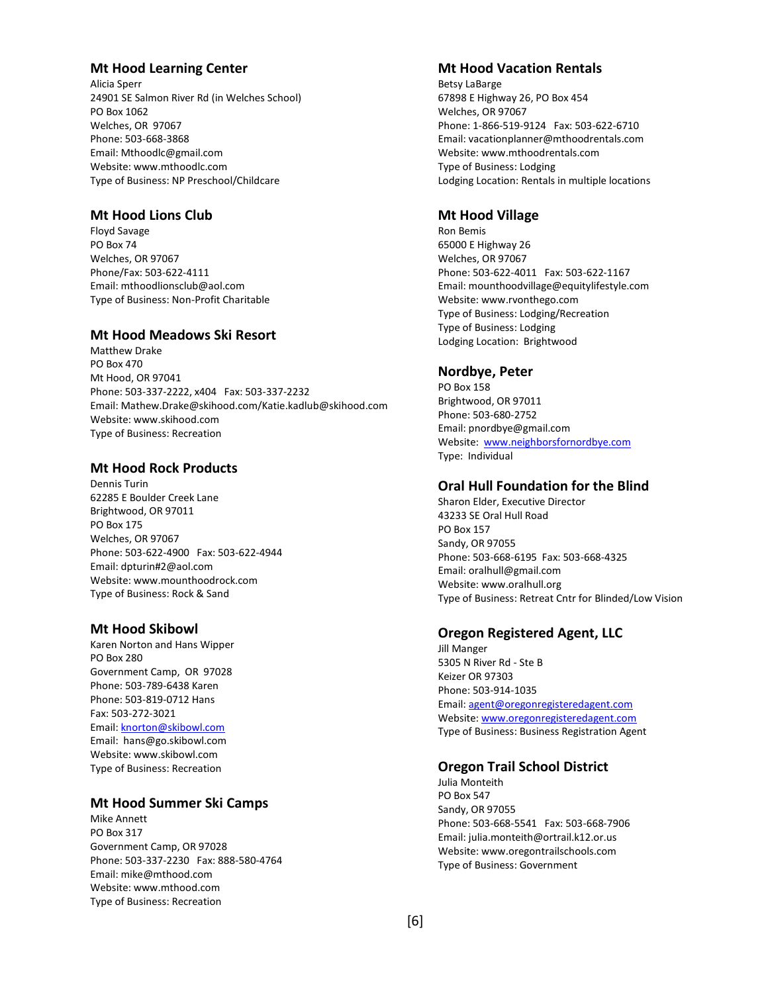## **Mt Hood Learning Center**

Alicia Sperr 24901 SE Salmon River Rd (in Welches School) PO Box 1062 Welches, OR 97067 Phone: 503-668-3868 Email: Mthoodlc@gmail.com Website: www.mthoodlc.com Type of Business: NP Preschool/Childcare

## **Mt Hood Lions Club**

Floyd Savage PO Box 74 Welches, OR 97067 Phone/Fax: 503-622-4111 Email: mthoodlionsclub@aol.com Type of Business: Non-Profit Charitable

# **Mt Hood Meadows Ski Resort**

Matthew Drake PO Box 470 Mt Hood, OR 97041 Phone: 503-337-2222, x404 Fax: 503-337-2232 Email: Mathew.Drake@skihood.com/Katie.kadlub@skihood.com Website: www.skihood.com Type of Business: Recreation

# **Mt Hood Rock Products**

Dennis Turin 62285 E Boulder Creek Lane Brightwood, OR 97011 PO Box 175 Welches, OR 97067 Phone: 503-622-4900 Fax: 503-622-4944 Email: dpturin#2@aol.com Website: www.mounthoodrock.com Type of Business: Rock & Sand

#### **Mt Hood Skibowl**

Karen Norton and Hans Wipper PO Box 280 Government Camp, OR 97028 Phone: 503-789-6438 Karen Phone: 503-819-0712 Hans Fax: 503-272-3021 Email[: knorton@skibowl.com](mailto:knorton@skibowl.com) Email: hans@go.skibowl.com Website: www.skibowl.com Type of Business: Recreation

# **Mt Hood Summer Ski Camps**

Mike Annett PO Box 317 Government Camp, OR 97028 Phone: 503-337-2230 Fax: 888-580-4764 Email: mike@mthood.com Website: www.mthood.com Type of Business: Recreation

# **Mt Hood Vacation Rentals**

Betsy LaBarge 67898 E Highway 26, PO Box 454 Welches, OR 97067 Phone: 1-866-519-9124 Fax: 503-622-6710 Email: vacationplanner@mthoodrentals.com Website: www.mthoodrentals.com Type of Business: Lodging Lodging Location: Rentals in multiple locations

#### **Mt Hood Village**

Ron Bemis 65000 E Highway 26 Welches, OR 97067 Phone: 503-622-4011 Fax: 503-622-1167 Email: mounthoodvillage@equitylifestyle.com Website: [www.rvonthego.com](http://www.rvonthego.com/) Type of Business: Lodging/Recreation Type of Business: Lodging Lodging Location: Brightwood

## **Nordbye, Peter**

PO Box 158 Brightwood, OR 97011 Phone: 503-680-2752 Email: pnordbye@gmail.com Website: [www.neighborsfornordbye.com](http://www.neighborsfornordbye.com/) Type: Individual

# **Oral Hull Foundation for the Blind**

Sharon Elder, Executive Director 43233 SE Oral Hull Road PO Box 157 Sandy, OR 97055 Phone: 503-668-6195 Fax: 503-668-4325 Email[: oralhull@gmail.com](mailto:oralhull@gmail.com) Website: [www.oralhull.org](http://www.oralhull.org/) Type of Business: Retreat Cntr for Blinded/Low Vision

#### **Oregon Registered Agent, LLC**

Jill Manger 5305 N River Rd - Ste B Keizer OR 97303 Phone: 503-914-1035 Email[: agent@oregonregisteredagent.com](mailto:agent@oregonregisteredagent.com) Website: [www.oregonregisteredagent.com](http://www.oregonregisteredagent.com/) Type of Business: Business Registration Agent

#### **Oregon Trail School District**

Julia Monteith PO Box 547 Sandy, OR 97055 Phone: 503-668-5541 Fax: 503-668-7906 Email: julia.monteith@ortrail.k12.or.us Website: www.oregontrailschools.com Type of Business: Government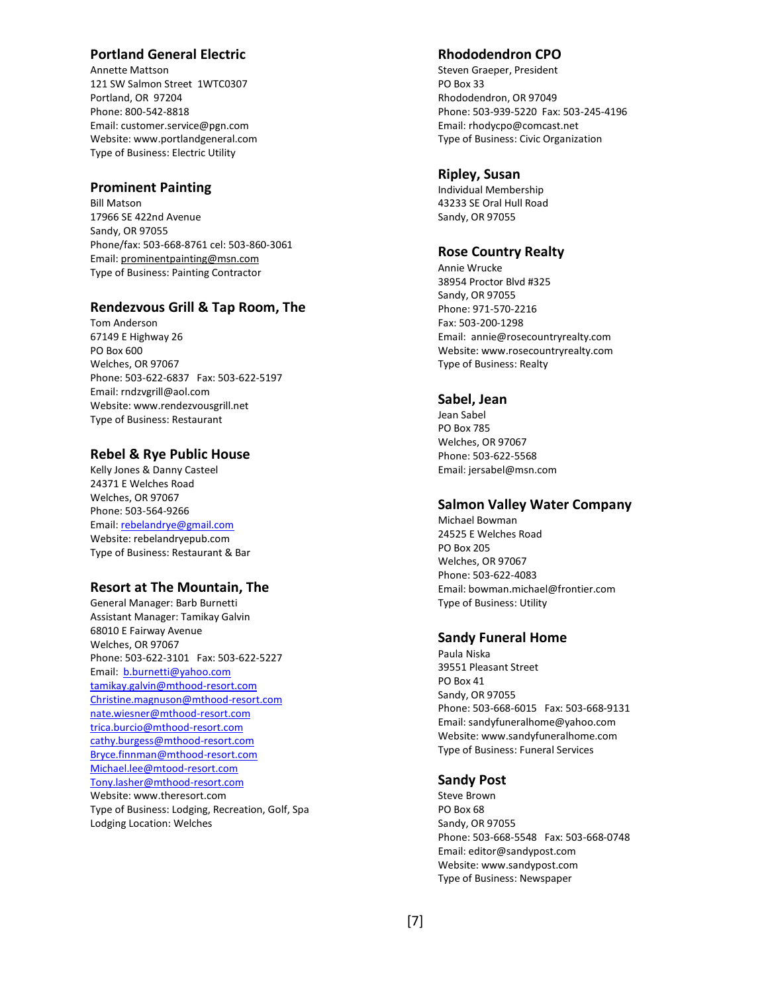# **Portland General Electric**

Annette Mattson 121 SW Salmon Street 1WTC0307 Portland, OR 97204 Phone: 800-542-8818 Email: customer.service@pgn.com Website: www.portlandgeneral.com Type of Business: Electric Utility

#### **Prominent Painting**

Bill Matson 17966 SE 422nd Avenue Sandy, OR 97055 Phone/fax: 503-668-8761 cel: 503-860-3061 Email[: prominentpainting@msn.com](mailto:prominentpainting@msn.com) Type of Business: Painting Contractor

# **Rendezvous Grill & Tap Room, The**

Tom Anderson 67149 E Highway 26 PO Box 600 Welches, OR 97067 Phone: 503-622-6837 Fax: 503-622-5197 Email: rndzvgrill@aol.com Website: www.rendezvousgrill.net Type of Business: Restaurant

## **Rebel & Rye Public House**

Kelly Jones & Danny Casteel 24371 E Welches Road Welches, OR 97067 Phone: 503-564-9266 Email[: rebelandrye@gmail.com](mailto:rebelandrye@gmail.com) Website: rebelandryepub.com Type of Business: Restaurant & Bar

#### **Resort at The Mountain, The**

General Manager: Barb Burnetti Assistant Manager: Tamikay Galvin 68010 E Fairway Avenue Welches, OR 97067 Phone: 503-622-3101 Fax: 503-622-5227 Email: [b.burnetti@yahoo.com](mailto:b.burnetti@yahoo.com) [tamikay.galvin@mthood-resort.com](mailto:tamikay.galvin@mthood-resort.com) [Christine.magnuson@mthood-resort.com](mailto:Christine.magnuson@mthood-resort.com) [nate.wiesner@mthood-resort.com](mailto:nate.wiesner@mthood-resort.com) [trica.burcio@mthood-resort.com](mailto:trica.burcio@mthood-resort.com) [cathy.burgess@mthood-resort.com](mailto:cathy.burgess@mthood-resort.com) [Bryce.finnman@mthood-resort.com](mailto:Bryce.finnman@mthood-resort.com) [Michael.lee@mtood-resort.com](mailto:Michael.lee@mtood-resort.com) [Tony.lasher@mthood-resort.com](mailto:Tony.lasher@mthood-resort.com) Website[: www.theresort.com](http://www.theresort.com/) Type of Business: Lodging, Recreation, Golf, Spa Lodging Location: Welches

## **Rhododendron CPO**

Steven Graeper, President PO Box 33 Rhododendron, OR 97049 Phone: 503-939-5220 Fax: 503-245-4196 Email[: rhodycpo@comcast.net](mailto:rhodycpo@comcast.net) Type of Business: Civic Organization

#### **Ripley, Susan**

Individual Membership 43233 SE Oral Hull Road Sandy, OR 97055

#### **Rose Country Realty**

Annie Wrucke 38954 Proctor Blvd #325 Sandy, OR 97055 Phone: 971-570-2216 Fax: 503-200-1298 Email: [annie@rosecountryrealty.com](mailto:annie@rosecountryrealty.com) Website: [www.rosecountryr](http://www.rosecountry/)ealty.com Type of Business: Realty

## **Sabel, Jean**

Jean Sabel PO Box 785 Welches, OR 97067 Phone: 503-622-5568 Email: jersabel@msn.com

#### **Salmon Valley Water Company**

Michael Bowman 24525 E Welches Road PO Box 205 Welches, OR 97067 Phone: 503-622-4083 Email: bowman.michael@frontier.com Type of Business: Utility

#### **Sandy Funeral Home**

Paula Niska 39551 Pleasant Street PO Box 41 Sandy, OR 97055 Phone: 503-668-6015 Fax: 503-668-9131 Email: sandyfuneralhome@yahoo.com Website: www.sandyfuneralhome.com Type of Business: Funeral Services

#### **Sandy Post**

Steve Brown PO Box 68 Sandy, OR 97055 Phone: 503-668-5548 Fax: 503-668-0748 Email: editor@sandypost.com Website: www.sandypost.com Type of Business: Newspaper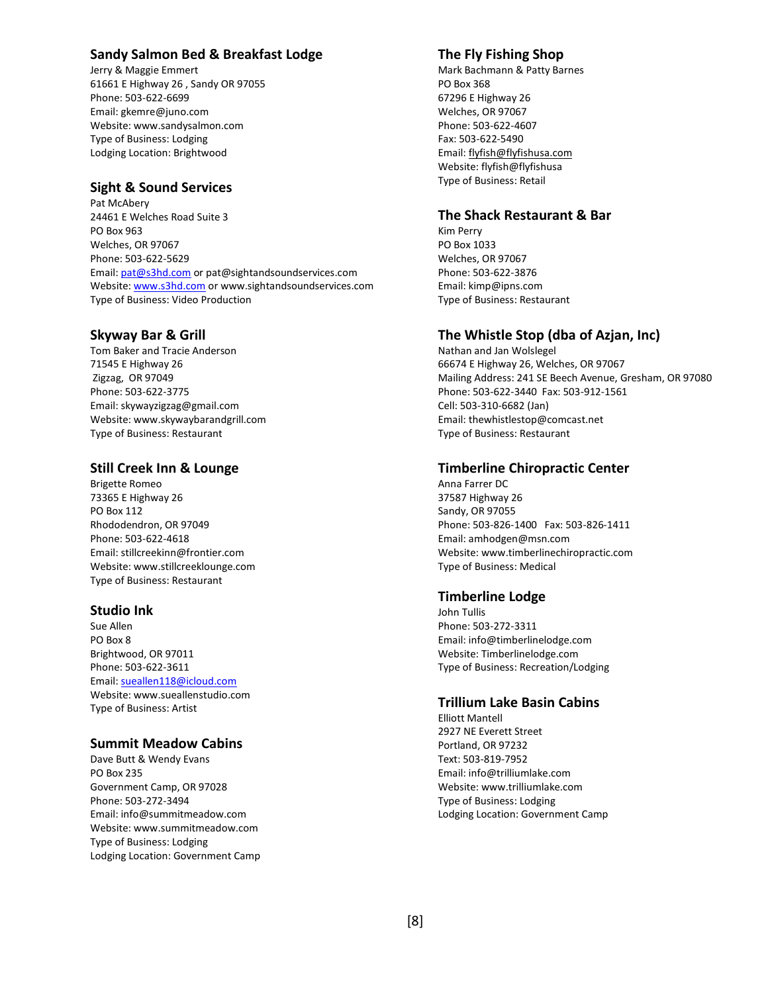# **Sandy Salmon Bed & Breakfast Lodge**

Jerry & Maggie Emmert 61661 E Highway 26 , Sandy OR 97055 Phone: 503-622-6699 Email: gkemre@juno.com Website[: www.sandysalmon.com](http://www.sandysalmon.com/) Type of Business: Lodging Lodging Location: Brightwood

## **Sight & Sound Services**

Pat McAbery 24461 E Welches Road Suite 3 PO Box 963 Welches, OR 97067 Phone: 503-622-5629 Email[: pat@s3hd.com](mailto:pat@s3hd.com) or pat@sightandsoundservices.com Website[: www.s3hd.com](http://www.s3hd.com/) or www.sightandsoundservices.com Type of Business: Video Production

#### **Skyway Bar & Grill**

Tom Baker and Tracie Anderson 71545 E Highway 26 Zigzag, OR 97049 Phone: 503-622-3775 Email[: skywayzigzag@gmail.com](mailto:skywayzigzag@gmail.com) Website: www.skywaybarandgrill.com Type of Business: Restaurant

## **Still Creek Inn & Lounge**

Brigette Romeo 73365 E Highway 26 PO Box 112 Rhododendron, OR 97049 Phone: 503-622-4618 Email: stillcreekinn@frontier.com Website: www.stillcreeklounge.com Type of Business: Restaurant

#### **Studio Ink**

Sue Allen PO Box 8 Brightwood, OR 97011 Phone: 503-622-3611 Email[: sueallen118@icloud.com](mailto:sueallen118@icloud.com) Website: www.sueallenstudio.com Type of Business: Artist

#### **Summit Meadow Cabins**

Dave Butt & Wendy Evans PO Box 235 Government Camp, OR 97028 Phone: 503-272-3494 Email: info@summitmeadow.com Website[: www.summitmeadow.com](http://www.summitmeadow.com/) Type of Business: Lodging Lodging Location: Government Camp

# **The Fly Fishing Shop**

Mark Bachmann & Patty Barnes PO Box 368 67296 E Highway 26 Welches, OR 97067 Phone: 503-622-4607 Fax: 503-622-5490 Email[: flyfish@flyfishusa.com](mailto:flyfish@flyfishusa.com) Website: flyfish@flyfishusa Type of Business: Retail

#### **The Shack Restaurant & Bar**

Kim Perry PO Box 1033 Welches, OR 97067 Phone: 503-622-3876 Email: kimp@ipns.com Type of Business: Restaurant

## **The Whistle Stop (dba of Azjan, Inc)**

Nathan and Jan Wolslegel 66674 E Highway 26, Welches, OR 97067 Mailing Address: 241 SE Beech Avenue, Gresham, OR 97080 Phone: 503-622-3440 Fax: 503-912-1561 Cell: 503-310-6682 (Jan) Email[: thewhistlestop@comcast.net](mailto:thewhistlestop@comcast.net) Type of Business: Restaurant

## **Timberline Chiropractic Center**

Anna Farrer DC 37587 Highway 26 Sandy, OR 97055 Phone: 503-826-1400 Fax: 503-826-1411 Email: amhodgen@msn.com Website: [www.timberlinechiropractic.com](http://www.timberlinechiropractic.com/) Type of Business: Medical

#### **Timberline Lodge**

John Tullis Phone: 503-272-3311 Email: info@timberlinelodge.com Website: Timberlinelodge.com Type of Business: Recreation/Lodging

## **Trillium Lake Basin Cabins**

Elliott Mantell 2927 NE Everett Street Portland, OR 97232 Text: 503-819-7952 Email: info@trilliumlake.com Website: [www.trilliumlake.com](http://www.trilliumlake.com/) Type of Business: Lodging Lodging Location: Government Camp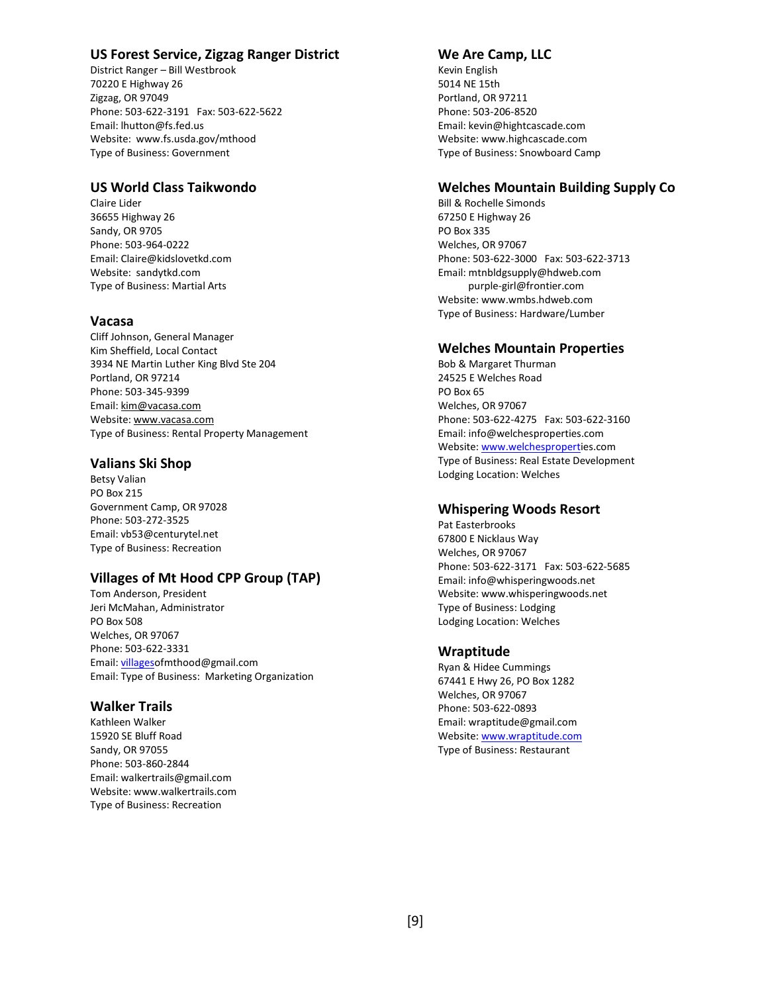# **US Forest Service, Zigzag Ranger District**

District Ranger – Bill Westbrook 70220 E Highway 26 Zigzag, OR 97049 Phone: 503-622-3191 Fax: 503-622-5622 Email: lhutton@fs.fed.us Website: www.fs.usda.gov/mthood Type of Business: Government

## **US World Class Taikwondo**

Claire Lider 36655 Highway 26 Sandy, OR 9705 Phone: 503-964-0222 Email: Claire@kidslovetkd.com Website: sandytkd.com Type of Business: Martial Arts

# **Vacasa**

Cliff Johnson, General Manager Kim Sheffield, Local Contact 3934 NE Martin Luther King Blvd Ste 204 Portland, OR 97214 Phone: 503-345-9399 Email[: kim@vacasa.com](mailto:kim@vacasa.com) Website[: www.vacasa.com](http://www.vacasa.com/) Type of Business: Rental Property Management

# **Valians Ski Shop**

Betsy Valian PO Box 215 Government Camp, OR 97028 Phone: 503-272-3525 Email: vb53@centurytel.net Type of Business: Recreation

# **Villages of Mt Hood CPP Group (TAP)**

Tom Anderson, President Jeri McMahan, Administrator PO Box 508 Welches, OR 97067 Phone: 503-622-3331 Email[: villageso](mailto:villages)fmthood@gmail.com Email: Type of Business: Marketing Organization

# **Walker Trails**

Kathleen Walker 15920 SE Bluff Road Sandy, OR 97055 Phone: 503-860-2844 Email: walkertrails@gmail.com Website: www.walkertrails.com Type of Business: Recreation

## **We Are Camp, LLC**

Kevin English 5014 NE 15th Portland, OR 97211 Phone: 503-206-8520 Email: kevin@hightcascade.com Website: www.highcascade.com Type of Business: Snowboard Camp

# **Welches Mountain Building Supply Co**

Bill & Rochelle Simonds 67250 E Highway 26 PO Box 335 Welches, OR 97067 Phone: 503-622-3000 Fax: 503-622-3713 Email: mtnbldgsupply@hdweb.com purple-girl@frontier.com Website: www.wmbs.hdweb.com Type of Business: Hardware/Lumber

# **Welches Mountain Properties**

Bob & Margaret Thurman 24525 E Welches Road PO Box 65 Welches, OR 97067 Phone: 503-622-4275 Fax: 503-622-3160 Email: info@welchesproperties.com Website: [www.welchesproperti](http://www.welchespropert/)es.com Type of Business: Real Estate Development Lodging Location: Welches

# **Whispering Woods Resort**

Pat Easterbrooks 67800 E Nicklaus Way Welches, OR 97067 Phone: 503-622-3171 Fax: 503-622-5685 Email: info@whisperingwoods.net Website: [www.whisperingwoods.net](http://www.whisperingwoods.net/) Type of Business: Lodging Lodging Location: Welches

# **Wraptitude**

Ryan & Hidee Cummings 67441 E Hwy 26, PO Box 1282 Welches, OR 97067 Phone: 503-622-0893 Email: wraptitude@gmail.com Website: [www.wraptitude.com](http://www.wraptitude.com/) Type of Business: Restaurant